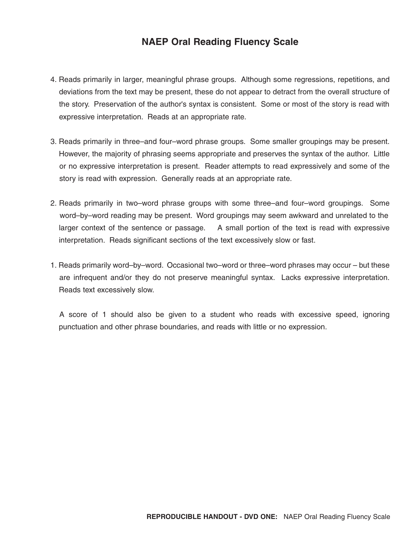## **NAEP Oral Reading Fluency Scale**

- 4. Reads primarily in larger, meaningful phrase groups. Although some regressions, repetitions, and deviations from the text may be present, these do not appear to detract from the overall structure of the story. Preservation of the author's syntax is consistent. Some or most of the story is read with expressive interpretation. Reads at an appropriate rate.
- 3. Reads primarily in three–and four–word phrase groups. Some smaller groupings may be present. However, the majority of phrasing seems appropriate and preserves the syntax of the author. Little or no expressive interpretation is present. Reader attempts to read expressively and some of the story is read with expression. Generally reads at an appropriate rate.
- 2. Reads primarily in two–word phrase groups with some three–and four–word groupings. Some word–by–word reading may be present. Word groupings may seem awkward and unrelated to the larger context of the sentence or passage. A small portion of the text is read with expressive interpretation. Reads significant sections of the text excessively slow or fast.
- 1. Reads primarily word–by–word. Occasional two–word or three–word phrases may occur but these are infrequent and/or they do not preserve meaningful syntax. Lacks expressive interpretation. Reads text excessively slow.

A score of 1 should also be given to a student who reads with excessive speed, ignoring punctuation and other phrase boundaries, and reads with little or no expression.